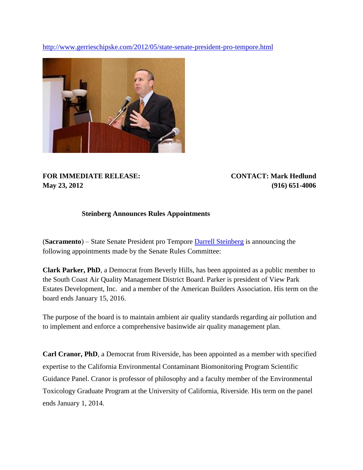<http://www.gerrieschipske.com/2012/05/state-senate-president-pro-tempore.html>



**FOR IMMEDIATE RELEASE: CONTACT: Mark Hedlund May 23, 2012 (916) 651-4006**

## **Steinberg Announces Rules Appointments**

(**Sacramento**) – State Senate President pro Tempore [Darrell Steinberg](http://en.wikipedia.org/wiki/Darrell_Steinberg) is announcing the following appointments made by the Senate Rules Committee:

**Clark Parker, PhD**, a Democrat from Beverly Hills, has been appointed as a public member to the South Coast Air Quality Management District Board. Parker is president of View Park Estates Development, Inc. and a member of the American Builders Association. His term on the board ends January 15, 2016.

The purpose of the board is to maintain ambient air quality standards regarding air pollution and to implement and enforce a comprehensive basinwide air quality management plan.

**Carl Cranor, PhD**, a Democrat from Riverside, has been appointed as a member with specified expertise to the California Environmental Contaminant Biomonitoring Program Scientific Guidance Panel. Cranor is professor of philosophy and a faculty member of the Environmental Toxicology Graduate Program at the University of California, Riverside. His term on the panel ends January 1, 2014.